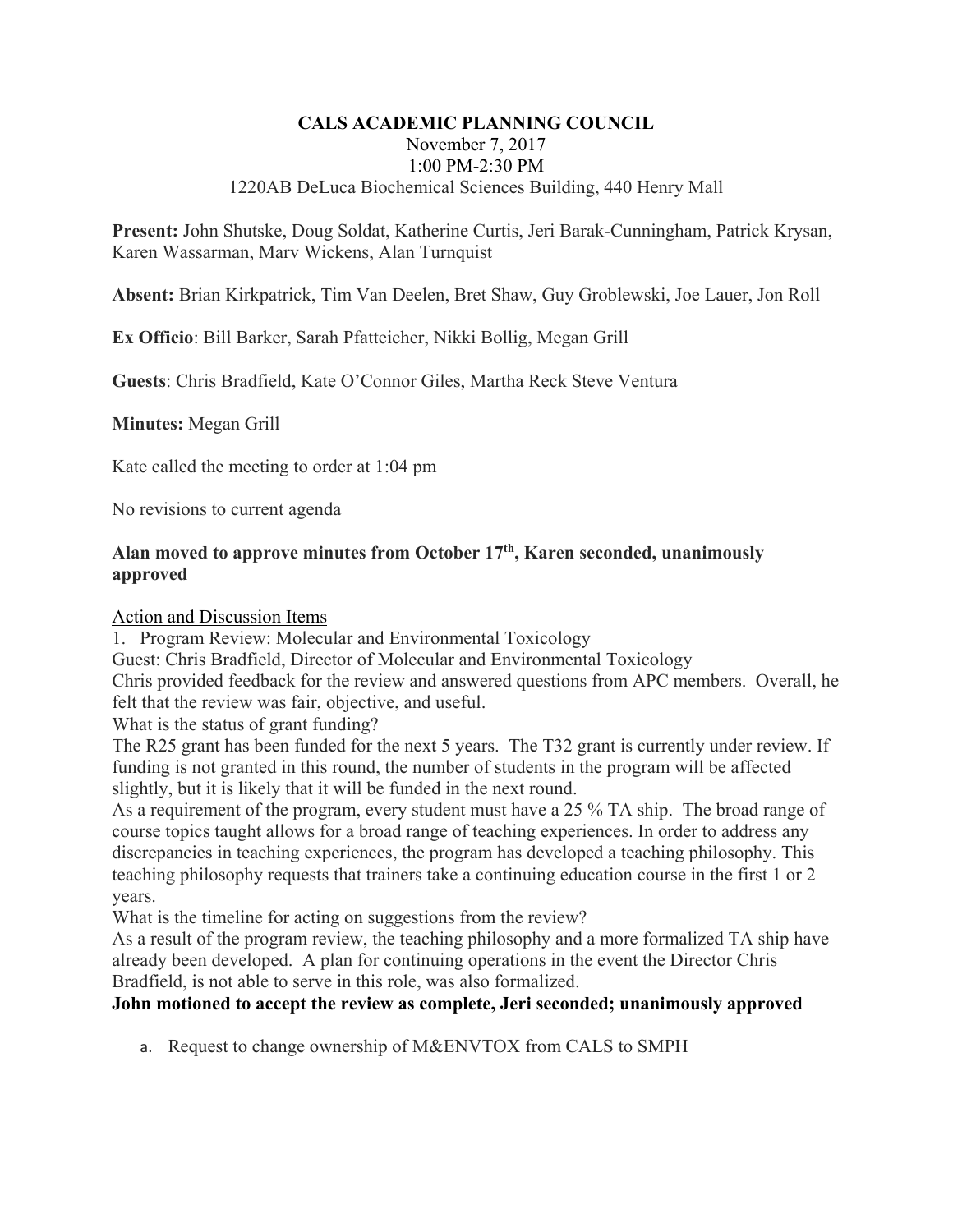### **CALS ACADEMIC PLANNING COUNCIL**  November 7, 2017 1:00 PM-2:30 PM 1220AB DeLuca Biochemical Sciences Building, 440 Henry Mall

**Present:** John Shutske, Doug Soldat, Katherine Curtis, Jeri Barak-Cunningham, Patrick Krysan, Karen Wassarman, Marv Wickens, Alan Turnquist

**Absent:** Brian Kirkpatrick, Tim Van Deelen, Bret Shaw, Guy Groblewski, Joe Lauer, Jon Roll

**Ex Officio**: Bill Barker, Sarah Pfatteicher, Nikki Bollig, Megan Grill

**Guests**: Chris Bradfield, Kate O'Connor Giles, Martha Reck Steve Ventura

**Minutes:** Megan Grill

Kate called the meeting to order at 1:04 pm

No revisions to current agenda

### **Alan moved to approve minutes from October 17th, Karen seconded, unanimously approved**

#### Action and Discussion Items

1. Program Review: Molecular and Environmental Toxicology

Guest: Chris Bradfield, Director of Molecular and Environmental Toxicology

Chris provided feedback for the review and answered questions from APC members. Overall, he felt that the review was fair, objective, and useful.

What is the status of grant funding?

The R25 grant has been funded for the next 5 years. The T32 grant is currently under review. If funding is not granted in this round, the number of students in the program will be affected slightly, but it is likely that it will be funded in the next round.

As a requirement of the program, every student must have a 25 % TA ship. The broad range of course topics taught allows for a broad range of teaching experiences. In order to address any discrepancies in teaching experiences, the program has developed a teaching philosophy. This teaching philosophy requests that trainers take a continuing education course in the first 1 or 2 years.

What is the timeline for acting on suggestions from the review?

As a result of the program review, the teaching philosophy and a more formalized TA ship have already been developed. A plan for continuing operations in the event the Director Chris Bradfield, is not able to serve in this role, was also formalized.

**John motioned to accept the review as complete, Jeri seconded; unanimously approved** 

a. Request to change ownership of M&ENVTOX from CALS to SMPH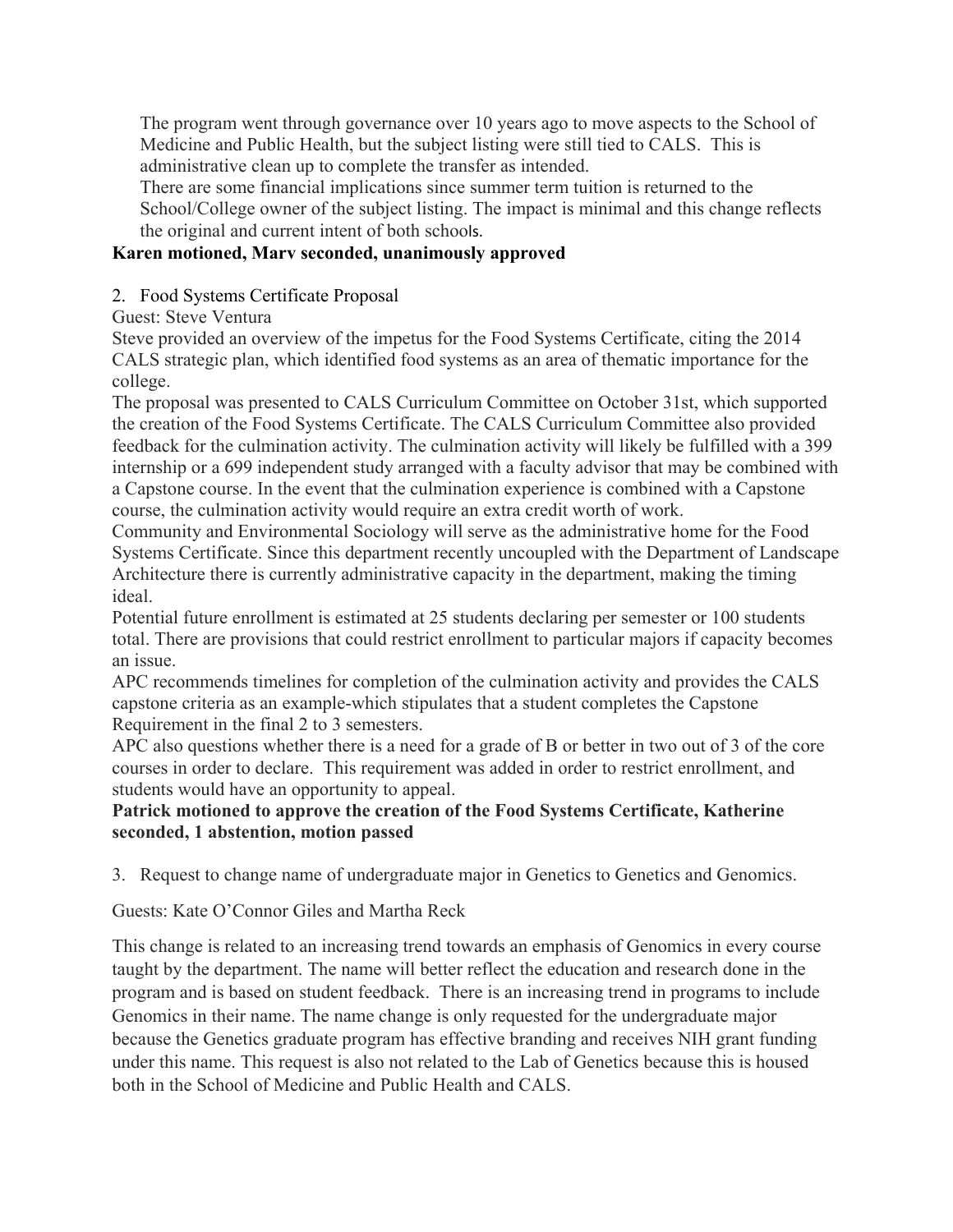The program went through governance over 10 years ago to move aspects to the School of Medicine and Public Health, but the subject listing were still tied to CALS. This is administrative clean up to complete the transfer as intended.

There are some financial implications since summer term tuition is returned to the School/College owner of the subject listing. The impact is minimal and this change reflects the original and current intent of both schools.

# **Karen motioned, Marv seconded, unanimously approved**

## 2. Food Systems Certificate Proposal

Guest: Steve Ventura

Steve provided an overview of the impetus for the Food Systems Certificate, citing the 2014 CALS strategic plan, which identified food systems as an area of thematic importance for the college.

The proposal was presented to CALS Curriculum Committee on October 31st, which supported the creation of the Food Systems Certificate. The CALS Curriculum Committee also provided feedback for the culmination activity. The culmination activity will likely be fulfilled with a 399 internship or a 699 independent study arranged with a faculty advisor that may be combined with a Capstone course. In the event that the culmination experience is combined with a Capstone course, the culmination activity would require an extra credit worth of work.

Community and Environmental Sociology will serve as the administrative home for the Food Systems Certificate. Since this department recently uncoupled with the Department of Landscape Architecture there is currently administrative capacity in the department, making the timing ideal.

Potential future enrollment is estimated at 25 students declaring per semester or 100 students total. There are provisions that could restrict enrollment to particular majors if capacity becomes an issue.

APC recommends timelines for completion of the culmination activity and provides the CALS capstone criteria as an example-which stipulates that a student completes the Capstone Requirement in the final 2 to 3 semesters.

APC also questions whether there is a need for a grade of B or better in two out of 3 of the core courses in order to declare. This requirement was added in order to restrict enrollment, and students would have an opportunity to appeal.

## **Patrick motioned to approve the creation of the Food Systems Certificate, Katherine seconded, 1 abstention, motion passed**

3. Request to change name of undergraduate major in Genetics to Genetics and Genomics.

Guests: Kate O'Connor Giles and Martha Reck

This change is related to an increasing trend towards an emphasis of Genomics in every course taught by the department. The name will better reflect the education and research done in the program and is based on student feedback. There is an increasing trend in programs to include Genomics in their name. The name change is only requested for the undergraduate major because the Genetics graduate program has effective branding and receives NIH grant funding under this name. This request is also not related to the Lab of Genetics because this is housed both in the School of Medicine and Public Health and CALS.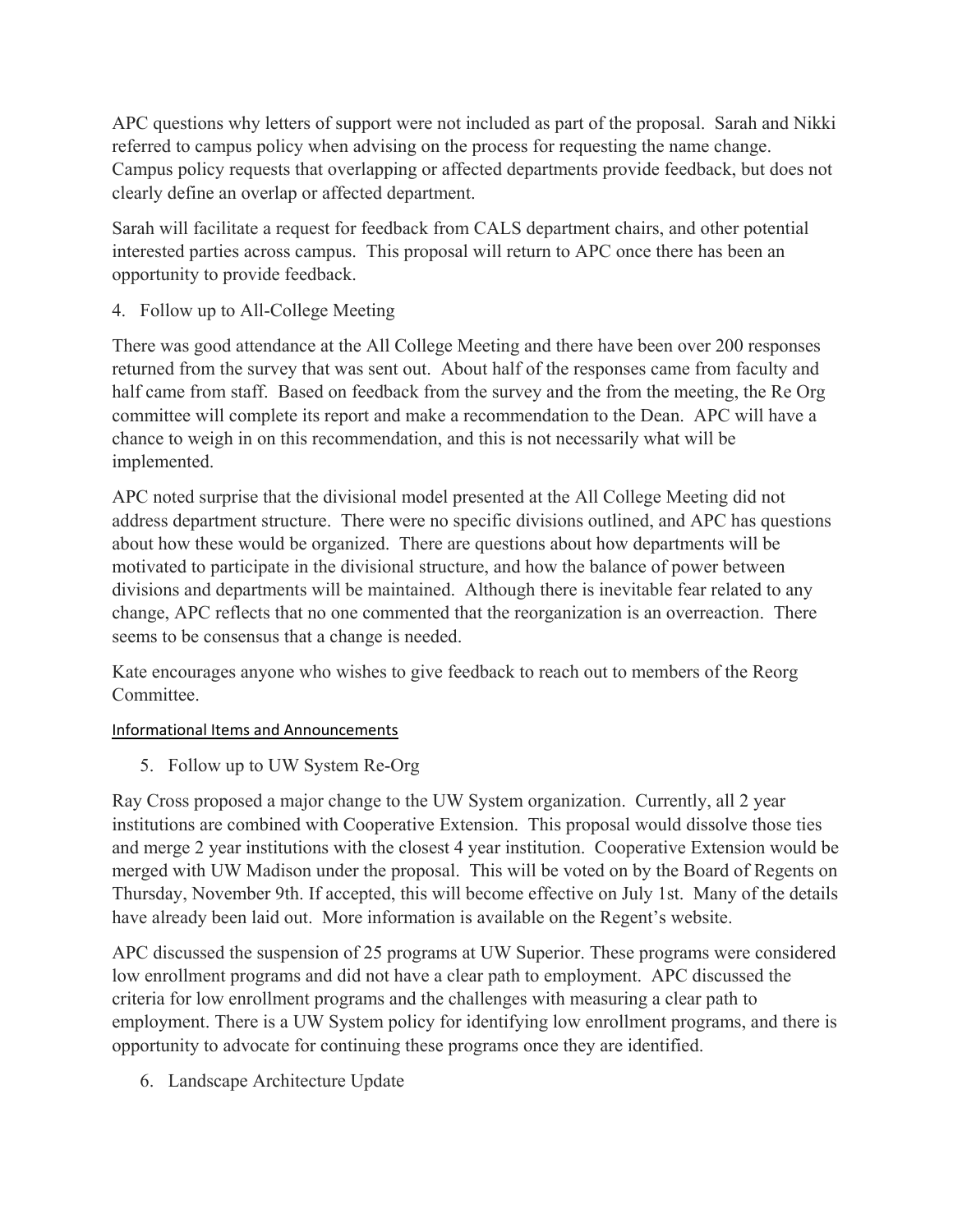APC questions why letters of support were not included as part of the proposal. Sarah and Nikki referred to campus policy when advising on the process for requesting the name change. Campus policy requests that overlapping or affected departments provide feedback, but does not clearly define an overlap or affected department.

Sarah will facilitate a request for feedback from CALS department chairs, and other potential interested parties across campus. This proposal will return to APC once there has been an opportunity to provide feedback.

4. Follow up to All-College Meeting

There was good attendance at the All College Meeting and there have been over 200 responses returned from the survey that was sent out. About half of the responses came from faculty and half came from staff. Based on feedback from the survey and the from the meeting, the Re Org committee will complete its report and make a recommendation to the Dean. APC will have a chance to weigh in on this recommendation, and this is not necessarily what will be implemented.

APC noted surprise that the divisional model presented at the All College Meeting did not address department structure. There were no specific divisions outlined, and APC has questions about how these would be organized. There are questions about how departments will be motivated to participate in the divisional structure, and how the balance of power between divisions and departments will be maintained. Although there is inevitable fear related to any change, APC reflects that no one commented that the reorganization is an overreaction. There seems to be consensus that a change is needed.

Kate encourages anyone who wishes to give feedback to reach out to members of the Reorg Committee.

# Informational Items and Announcements

5. Follow up to UW System Re-Org

Ray Cross proposed a major change to the UW System organization. Currently, all 2 year institutions are combined with Cooperative Extension. This proposal would dissolve those ties and merge 2 year institutions with the closest 4 year institution. Cooperative Extension would be merged with UW Madison under the proposal. This will be voted on by the Board of Regents on Thursday, November 9th. If accepted, this will become effective on July 1st. Many of the details have already been laid out. More information is available on the Regent's website.

APC discussed the suspension of 25 programs at UW Superior. These programs were considered low enrollment programs and did not have a clear path to employment. APC discussed the criteria for low enrollment programs and the challenges with measuring a clear path to employment. There is a UW System policy for identifying low enrollment programs, and there is opportunity to advocate for continuing these programs once they are identified.

6. Landscape Architecture Update